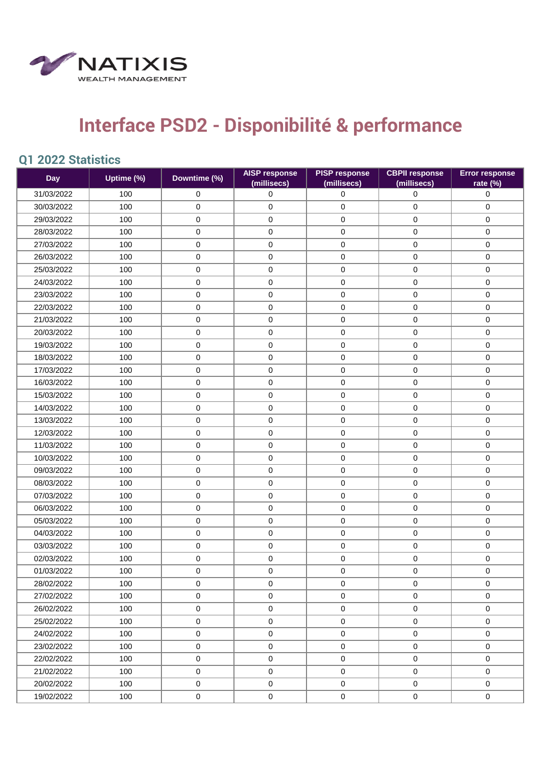

## **Interface PSD2 - Disponibilité & performance**

## **Q1 2022 Statistics**

| <b>Day</b> | Uptime (%) | Downtime (%) | <b>AISP response</b><br>(millisecs) | <b>PISP response</b><br>(millisecs) | <b>CBPII response</b><br>(millisecs) | <b>Error response</b><br>rate (%) |
|------------|------------|--------------|-------------------------------------|-------------------------------------|--------------------------------------|-----------------------------------|
| 31/03/2022 | 100        | $\mathbf 0$  | $\mathbf 0$                         | 0                                   | $\mathbf 0$                          | 0                                 |
| 30/03/2022 | 100        | 0            | $\pmb{0}$                           | $\mathbf 0$                         | 0                                    | $\pmb{0}$                         |
| 29/03/2022 | 100        | 0            | $\mathbf 0$                         | $\mathsf{O}\xspace$                 | $\mathbf 0$                          | $\mathbf 0$                       |
| 28/03/2022 | 100        | $\mathbf 0$  | $\mathbf 0$                         | $\mathsf{O}\xspace$                 | 0                                    | $\mathbf 0$                       |
| 27/03/2022 | 100        | $\mathbf 0$  | $\mathbf 0$                         | $\pmb{0}$                           | $\mathbf 0$                          | $\mathbf 0$                       |
| 26/03/2022 | 100        | 0            | 0                                   | $\pmb{0}$                           | 0                                    | $\mathbf 0$                       |
| 25/03/2022 | 100        | 0            | 0                                   | $\pmb{0}$                           | 0                                    | $\mathbf 0$                       |
| 24/03/2022 | 100        | $\mathbf 0$  | $\mathbf 0$                         | 0                                   | 0                                    | $\mathbf 0$                       |
| 23/03/2022 | 100        | 0            | $\pmb{0}$                           | $\mathsf 0$                         | 0                                    | $\pmb{0}$                         |
| 22/03/2022 | 100        | $\pmb{0}$    | 0                                   | $\pmb{0}$                           | $\mathbf 0$                          | $\mathbf 0$                       |
| 21/03/2022 | 100        | 0            | $\mathbf 0$                         | $\mathsf{O}\xspace$                 | 0                                    | $\mathbf 0$                       |
| 20/03/2022 | 100        | 0            | 0                                   | $\pmb{0}$                           | 0                                    | 0                                 |
| 19/03/2022 | 100        | $\pmb{0}$    | 0                                   | $\mathsf{O}\xspace$                 | 0                                    | $\pmb{0}$                         |
| 18/03/2022 | 100        | 0            | $\pmb{0}$                           | $\mathsf 0$                         | 0                                    | $\pmb{0}$                         |
| 17/03/2022 | 100        | $\mathbf 0$  | $\mathbf 0$                         | 0                                   | 0                                    | $\mathbf 0$                       |
| 16/03/2022 | 100        | 0            | $\pmb{0}$                           | $\pmb{0}$                           | 0                                    | $\pmb{0}$                         |
| 15/03/2022 | 100        | 0            | 0                                   | $\pmb{0}$                           | 0                                    | $\mathbf 0$                       |
| 14/03/2022 | 100        | $\mathbf 0$  | $\mathbf 0$                         | $\pmb{0}$                           | $\mathbf 0$                          | $\mathbf 0$                       |
| 13/03/2022 | 100        | $\pmb{0}$    | $\pmb{0}$                           | $\pmb{0}$                           | 0                                    | $\pmb{0}$                         |
| 12/03/2022 | 100        | 0            | 0                                   | $\pmb{0}$                           | 0                                    | $\mathbf 0$                       |
| 11/03/2022 | 100        | $\mathbf 0$  | 0                                   | $\mathsf 0$                         | 0                                    | $\mathbf 0$                       |
| 10/03/2022 | 100        | 0            | $\pmb{0}$                           | 0                                   | 0                                    | $\pmb{0}$                         |
| 09/03/2022 | 100        | $\pmb{0}$    | 0                                   | $\mathsf{O}\xspace$                 | 0                                    | $\mathbf 0$                       |
| 08/03/2022 | 100        | 0            | $\mathbf 0$                         | $\mathsf{O}\xspace$                 | 0                                    | $\mathbf 0$                       |
| 07/03/2022 | 100        | 0            | $\pmb{0}$                           | $\pmb{0}$                           | 0                                    | $\mathbf 0$                       |
| 06/03/2022 | 100        | 0            | $\pmb{0}$                           | $\pmb{0}$                           | 0                                    | $\pmb{0}$                         |
| 05/03/2022 | 100        | 0            | 0                                   | $\pmb{0}$                           | 0                                    | $\mathbf 0$                       |
| 04/03/2022 | 100        | $\mathbf 0$  | $\mathbf 0$                         | 0                                   | $\mathbf 0$                          | $\mathbf 0$                       |
| 03/03/2022 | 100        | $\pmb{0}$    | 0                                   | $\pmb{0}$                           | 0                                    | $\pmb{0}$                         |
| 02/03/2022 | 100        | 0            | 0                                   | 0                                   | 0                                    | 0                                 |
| 01/03/2022 | 100        | 0            | $\pmb{0}$                           | 0                                   | 0                                    | $\pmb{0}$                         |
| 28/02/2022 | 100        | 0            | $\mathbf 0$                         | 0                                   | 0                                    | 0                                 |
| 27/02/2022 | 100        | 0            | $\mathbf 0$                         | $\mathbf 0$                         | 0                                    | $\mathbf 0$                       |
| 26/02/2022 | 100        | $\mathbf 0$  | $\mathbf 0$                         | $\mathbf 0$                         | $\mathbf 0$                          | $\mathbf 0$                       |
| 25/02/2022 | 100        | 0            | $\mathbf 0$                         | 0                                   | $\mathbf 0$                          | $\mathbf 0$                       |
| 24/02/2022 | 100        | $\pmb{0}$    | $\mathsf{O}\xspace$                 | $\pmb{0}$                           | 0                                    | $\mathbf 0$                       |
| 23/02/2022 | 100        | 0            | $\mathbf 0$                         | $\mathbf 0$                         | $\mathbf 0$                          | $\mathbf 0$                       |
| 22/02/2022 | 100        | $\mathbf 0$  | $\mathbf 0$                         | 0                                   | $\mathbf 0$                          | $\mathbf 0$                       |
| 21/02/2022 | 100        | $\pmb{0}$    | $\mathsf{O}\xspace$                 | $\mathbf 0$                         | $\mathbf 0$                          | $\mathbf 0$                       |
| 20/02/2022 | 100        | $\mathbf 0$  | $\mathbf 0$                         | $\mathbf 0$                         | $\mathbf 0$                          | $\mathbf 0$                       |
| 19/02/2022 | 100        | 0            | $\mathbf 0$                         | $\mathbf 0$                         | $\mathsf{O}\xspace$                  | $\mathbf 0$                       |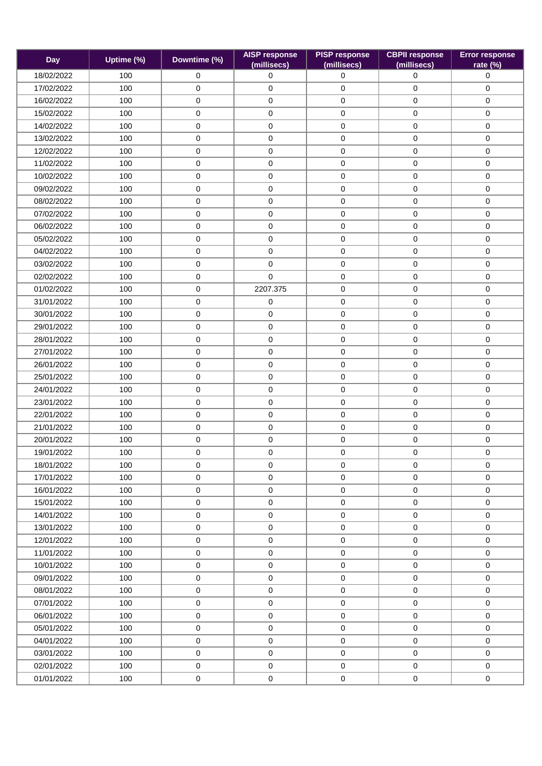| <b>Day</b> | Uptime (%) | Downtime (%) | <b>AISP response</b><br>(millisecs) | <b>PISP response</b><br>(millisecs) | <b>CBPII response</b><br>(millisecs) | <b>Error response</b><br>rate (%) |
|------------|------------|--------------|-------------------------------------|-------------------------------------|--------------------------------------|-----------------------------------|
| 18/02/2022 | 100        | 0            | $\mathbf 0$                         | $\mathbf 0$                         | 0                                    | 0                                 |
| 17/02/2022 | 100        | 0            | $\mathbf 0$                         | $\pmb{0}$                           | $\pmb{0}$                            | 0                                 |
| 16/02/2022 | 100        | 0            | $\mathbf 0$                         | 0                                   | $\mathbf 0$                          | $\mathbf 0$                       |
| 15/02/2022 | 100        | 0            | 0                                   | $\pmb{0}$                           | $\mathbf 0$                          | $\mathbf 0$                       |
| 14/02/2022 | 100        | 0            | $\mathsf{O}\xspace$                 | $\pmb{0}$                           | $\mathbf 0$                          | $\mathsf{O}\xspace$               |
| 13/02/2022 | 100        | 0            | 0                                   | 0                                   | $\mathbf 0$                          | 0                                 |
| 12/02/2022 | 100        | 0            | $\mathbf 0$                         | $\pmb{0}$                           | $\mathbf 0$                          | $\mathbf 0$                       |
| 11/02/2022 | 100        | 0            | $\mathbf 0$                         | $\pmb{0}$                           | $\mathbf 0$                          | $\mathsf{O}\xspace$               |
| 10/02/2022 | 100        | 0            | 0                                   | $\pmb{0}$                           | $\mathbf 0$                          | $\mathbf 0$                       |
| 09/02/2022 | 100        | 0            | 0                                   | $\pmb{0}$                           | $\mathbf 0$                          | $\mathbf 0$                       |
| 08/02/2022 | 100        | 0            | 0                                   | $\pmb{0}$                           | $\mathbf 0$                          | 0                                 |
| 07/02/2022 | 100        | 0            | 0                                   | 0                                   | $\mathbf 0$                          | 0                                 |
| 06/02/2022 | 100        | 0            | $\mathbf 0$                         | $\pmb{0}$                           | $\mathbf 0$                          | $\mathbf 0$                       |
| 05/02/2022 | 100        | 0            | $\mathbf 0$                         | $\pmb{0}$                           | $\mathbf 0$                          | $\mathbf 0$                       |
| 04/02/2022 | 100        | 0            | $\mathbf 0$                         | $\pmb{0}$                           | $\mathbf 0$                          | $\mathsf{O}\xspace$               |
| 03/02/2022 | 100        | 0            | $\mathbf 0$                         | 0                                   | $\mathbf 0$                          | $\mathbf 0$                       |
| 02/02/2022 | 100        | 0            | $\Omega$                            | $\pmb{0}$                           | $\mathbf 0$                          | $\mathbf 0$                       |
| 01/02/2022 | 100        | 0            | 2207.375                            | $\pmb{0}$                           | $\mathbf 0$                          | $\pmb{0}$                         |
| 31/01/2022 | 100        | 0            | 0                                   | 0                                   | $\mathbf 0$                          | $\mathbf 0$                       |
| 30/01/2022 | 100        | 0            | $\mathbf 0$                         | $\mathsf 0$                         | $\mathbf 0$                          | $\mathbf 0$                       |
| 29/01/2022 | 100        | 0            | $\pmb{0}$                           | $\mathsf 0$                         | $\pmb{0}$                            | $\pmb{0}$                         |
| 28/01/2022 | 100        | 0            | 0                                   | $\pmb{0}$                           | $\mathbf 0$                          | $\mathbf 0$                       |
| 27/01/2022 | 100        | 0            | $\mathbf 0$                         | 0                                   | $\mathbf 0$                          | $\mathbf 0$                       |
| 26/01/2022 | 100        | 0            | $\mathbf 0$                         | $\pmb{0}$                           | $\mathbf 0$                          | 0                                 |
| 25/01/2022 | 100        | 0            | $\pmb{0}$                           | $\pmb{0}$                           | $\pmb{0}$                            | $\pmb{0}$                         |
| 24/01/2022 | 100        | 0            | 0                                   | $\pmb{0}$                           | $\mathbf 0$                          | $\mathbf 0$                       |
| 23/01/2022 | 100        | 0            | $\mathbf 0$                         | $\pmb{0}$                           | $\mathbf 0$                          | 0                                 |
| 22/01/2022 | 100        | 0            | $\mathsf{O}\xspace$                 | $\pmb{0}$                           | $\pmb{0}$                            | $\pmb{0}$                         |
| 21/01/2022 | 100        | 0            | 0                                   | 0                                   | $\mathbf 0$                          | $\mathbf 0$                       |
| 20/01/2022 | 100        | 0            | 0                                   | $\pmb{0}$                           | $\mathbf 0$                          | 0                                 |
| 19/01/2022 | 100        | 0            | $\pmb{0}$                           | $\pmb{0}$                           | 0                                    | $\pmb{0}$                         |
| 18/01/2022 | 100        | 0            | $\mathbf 0$                         | 0                                   | $\mathbf 0$                          | $\mathbf 0$                       |
| 17/01/2022 | 100        | 0            | $\mathbf 0$                         | 0                                   | $\mathbf 0$                          | $\mathbf 0$                       |
| 16/01/2022 | 100        | 0            | 0                                   | 0                                   | $\mathbf 0$                          | $\mathbf 0$                       |
| 15/01/2022 | 100        | 0            | $\mathsf{O}\xspace$                 | $\pmb{0}$                           | $\mathbf 0$                          | $\mathsf{O}\xspace$               |
| 14/01/2022 | 100        | 0            | $\mathbf 0$                         | 0                                   | $\mathbf 0$                          | $\mathbf 0$                       |
| 13/01/2022 | 100        | 0            | 0                                   | $\mathbf 0$                         | $\mathbf 0$                          | $\mathbf 0$                       |
| 12/01/2022 | 100        | 0            | $\mathbf 0$                         | 0                                   | $\mathbf 0$                          | $\mathbf 0$                       |
| 11/01/2022 | 100        | 0            | $\mathbf 0$                         | 0                                   | $\mathbf 0$                          | $\mathbf 0$                       |
| 10/01/2022 | 100        | 0            | $\mathbf 0$                         | 0                                   | $\mathbf 0$                          | $\mathbf 0$                       |
| 09/01/2022 | 100        | 0            | $\mathbf 0$                         | 0                                   | $\mathbf 0$                          | $\mathbf 0$                       |
| 08/01/2022 | 100        | 0            | $\mathbf 0$                         | 0                                   | $\mathbf 0$                          | $\mathbf 0$                       |
| 07/01/2022 | 100        | 0            | $\mathbf 0$                         | $\pmb{0}$                           | $\mathbf 0$                          | $\mathbf 0$                       |
| 06/01/2022 | 100        | 0            | $\mathbf 0$                         | $\pmb{0}$                           | $\mathbf 0$                          | $\mathbf 0$                       |
| 05/01/2022 | 100        | 0            | $\mathbf 0$                         | 0                                   | $\mathbf 0$                          | $\mathbf 0$                       |
| 04/01/2022 | 100        | 0            | $\mathbf 0$                         | 0                                   | $\mathbf 0$                          | $\mathbf 0$                       |
| 03/01/2022 | 100        | 0            | $\mathbf 0$                         | $\mathbf 0$                         | $\mathbf 0$                          | $\mathbf 0$                       |
| 02/01/2022 | 100        | 0            | $\mathsf 0$                         | 0                                   | $\mathbf 0$                          | $\mathsf{O}\xspace$               |
| 01/01/2022 | 100        | 0            | 0                                   | 0                                   | $\mathbf 0$                          | 0                                 |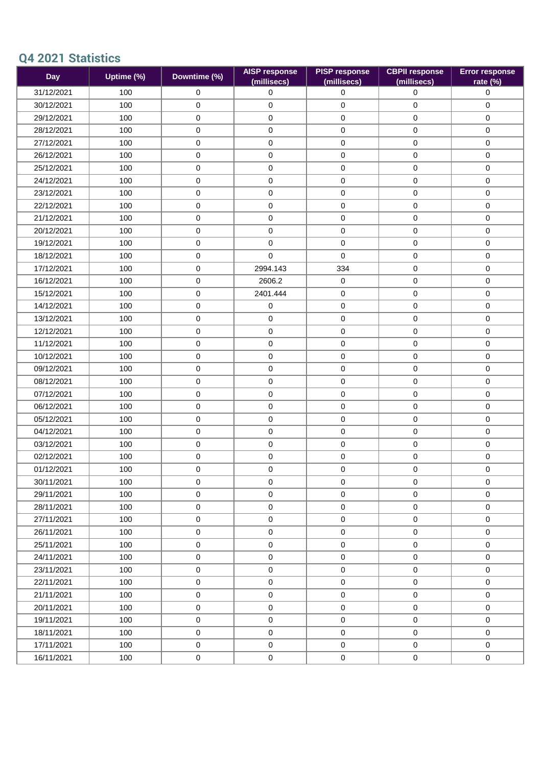## **Q4 2021 Statistics**

| <b>Day</b> | Uptime (%) | Downtime (%) | <b>AISP response</b><br>(millisecs) | <b>PISP response</b><br>(millisecs) | <b>CBPII response</b><br>(millisecs) | <b>Error response</b><br>rate (%) |
|------------|------------|--------------|-------------------------------------|-------------------------------------|--------------------------------------|-----------------------------------|
| 31/12/2021 | 100        | 0            | $\mathbf 0$                         | $\mathbf 0$                         | $\mathbf 0$                          | $\mathbf 0$                       |
| 30/12/2021 | 100        | 0            | $\pmb{0}$                           | $\pmb{0}$                           | $\mathbf 0$                          | $\pmb{0}$                         |
| 29/12/2021 | 100        | 0            | $\mathsf{O}\xspace$                 | 0                                   | $\pmb{0}$                            | $\mathbf 0$                       |
| 28/12/2021 | 100        | 0            | $\mathbf 0$                         | 0                                   | $\mathbf 0$                          | $\mathbf 0$                       |
| 27/12/2021 | 100        | 0            | 0                                   | $\pmb{0}$                           | $\mathbf 0$                          | $\mathbf 0$                       |
| 26/12/2021 | 100        | 0            | $\mathsf{O}\xspace$                 | $\pmb{0}$                           | $\pmb{0}$                            | $\mathsf{O}\xspace$               |
| 25/12/2021 | 100        | 0            | $\mathbf 0$                         | 0                                   | $\mathbf 0$                          | $\mathbf 0$                       |
| 24/12/2021 | 100        | 0            | $\mathbf 0$                         | $\pmb{0}$                           | $\mathbf 0$                          | $\mathbf 0$                       |
| 23/12/2021 | 100        | 0            | $\mathsf{O}\xspace$                 | $\pmb{0}$                           | $\pmb{0}$                            | $\mathsf{O}\xspace$               |
| 22/12/2021 | 100        | 0            | 0                                   | $\pmb{0}$                           | $\mathbf 0$                          | $\mathbf 0$                       |
| 21/12/2021 | 100        | 0            | $\mathbf 0$                         | 0                                   | $\mathbf 0$                          | $\mathbf 0$                       |
| 20/12/2021 | 100        | 0            | $\pmb{0}$                           | $\pmb{0}$                           | $\mathbf 0$                          | 0                                 |
| 19/12/2021 | 100        | 0            | $\mathsf{O}\xspace$                 | 0                                   | $\mathbf 0$                          | $\mathbf 0$                       |
| 18/12/2021 | 100        | 0            | $\mathbf 0$                         | $\mathbf 0$                         | $\mathbf 0$                          | $\mathbf 0$                       |
| 17/12/2021 | 100        | 0            | 2994.143                            | 334                                 | $\mathbf 0$                          | $\mathbf 0$                       |
| 16/12/2021 | 100        | 0            | 2606.2                              | 0                                   | $\pmb{0}$                            | $\mathsf{O}\xspace$               |
| 15/12/2021 | 100        | 0            | 2401.444                            | 0                                   | $\mathbf 0$                          | $\mathbf 0$                       |
| 14/12/2021 | 100        | 0            | 0                                   | $\pmb{0}$                           | $\mathbf 0$                          | $\mathbf 0$                       |
| 13/12/2021 | 100        | 0            | $\mathsf{O}\xspace$                 | $\pmb{0}$                           | $\mathbf 0$                          | $\mathbf 0$                       |
| 12/12/2021 | 100        | 0            | $\mathbf 0$                         | $\pmb{0}$                           | $\mathbf 0$                          | $\mathbf 0$                       |
| 11/12/2021 | 100        | 0            | $\mathbf 0$                         | $\mathsf 0$                         | $\mathbf 0$                          | $\mathbf 0$                       |
| 10/12/2021 | 100        | 0            | $\pmb{0}$                           | $\pmb{0}$                           | $\mathbf 0$                          | $\mathbf 0$                       |
| 09/12/2021 | 100        | 0            | $\mathbf 0$                         | 0                                   | $\mathbf 0$                          | $\mathbf 0$                       |
| 08/12/2021 | 100        | 0            | $\mathbf 0$                         | 0                                   | $\mathbf 0$                          | $\mathbf 0$                       |
| 07/12/2021 | 100        | 0            | $\pmb{0}$                           | $\pmb{0}$                           | $\mathbf 0$                          | $\mathbf 0$                       |
| 06/12/2021 | 100        | 0            | $\mathbf 0$                         | $\pmb{0}$                           | $\mathbf 0$                          | $\mathbf 0$                       |
| 05/12/2021 | 100        | 0            | $\mathbf 0$                         | 0                                   | 0                                    | $\mathbf 0$                       |
| 04/12/2021 | 100        | 0            | 0                                   | $\pmb{0}$                           | $\mathbf 0$                          | $\mathbf 0$                       |
| 03/12/2021 | 100        | 0            | $\mathsf{O}\xspace$                 | $\pmb{0}$                           | $\pmb{0}$                            | $\mathbf 0$                       |
| 02/12/2021 | 100        | 0            | $\mathbf 0$                         | 0                                   | $\mathbf 0$                          | $\mathbf 0$                       |
| 01/12/2021 | 100        | 0            | $\pmb{0}$                           | 0                                   | 0                                    | $\mathsf{O}\xspace$               |
| 30/11/2021 | 100        | 0            | 0                                   | 0                                   | $\mathsf 0$                          | $\mathbf 0$                       |
| 29/11/2021 | 100        | 0            | $\mathbf 0$                         | 0                                   | $\mathbf 0$                          | $\mathbf 0$                       |
| 28/11/2021 | 100        | $\mathbf 0$  | $\mathbf 0$                         | $\mathbf 0$                         | $\mathbf 0$                          | $\mathbf 0$                       |
| 27/11/2021 | 100        | 0            | $\mathbf 0$                         | 0                                   | $\mathbf 0$                          | $\mathbf 0$                       |
| 26/11/2021 | 100        | 0            | $\mathbf 0$                         | 0                                   | $\mathbf 0$                          | $\mathbf 0$                       |
| 25/11/2021 | 100        | 0            | $\mathbf 0$                         | $\mathbf 0$                         | $\mathbf 0$                          | $\mathbf 0$                       |
| 24/11/2021 | 100        | 0            | $\mathbf 0$                         | 0                                   | $\mathbf 0$                          | $\mathbf 0$                       |
| 23/11/2021 | 100        | 0            | $\mathsf{O}\xspace$                 | $\pmb{0}$                           | $\mathbf 0$                          | $\mathbf 0$                       |
| 22/11/2021 | 100        | 0            | $\mathbf 0$                         | $\mathbf 0$                         | $\mathbf 0$                          | $\mathbf 0$                       |
| 21/11/2021 | 100        | 0            | $\mathbf 0$                         | 0                                   | $\mathbf 0$                          | $\mathbf 0$                       |
| 20/11/2021 | 100        | 0            | $\mathbf 0$                         | $\mathbf 0$                         | $\mathbf 0$                          | $\mathbf 0$                       |
| 19/11/2021 | 100        | 0            | $\mathbf 0$                         | 0                                   | $\mathbf 0$                          | $\mathbf 0$                       |
| 18/11/2021 | 100        | 0            | $\mathbf 0$                         | $\mathbf 0$                         | $\mathbf 0$                          | $\mathbf 0$                       |
| 17/11/2021 | 100        | $\mathbf 0$  | $\mathbf 0$                         | 0                                   | $\mathbf 0$                          | $\mathbf 0$                       |
| 16/11/2021 | 100        | 0            | $\mathsf{O}\xspace$                 | $\pmb{0}$                           | $\mathbf 0$                          | $\mathbf 0$                       |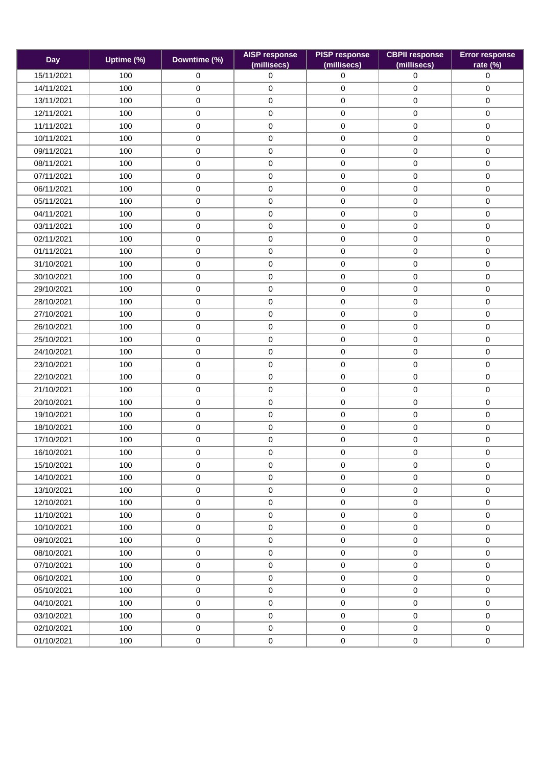| <b>Day</b> | Uptime (%) | Downtime (%)        | <b>AISP response</b><br>(millisecs) | <b>PISP response</b><br>(millisecs) | <b>CBPII response</b><br>(millisecs) | <b>Error response</b><br>rate (%) |
|------------|------------|---------------------|-------------------------------------|-------------------------------------|--------------------------------------|-----------------------------------|
| 15/11/2021 | 100        | $\mathbf 0$         | 0                                   | 0                                   | $\mathbf 0$                          | 0                                 |
| 14/11/2021 | 100        | $\mathbf 0$         | $\mathbf 0$                         | 0                                   | $\mathbf 0$                          | $\mathbf 0$                       |
| 13/11/2021 | 100        | $\mathsf{O}\xspace$ | $\mathbf 0$                         | $\pmb{0}$                           | $\mathsf{O}\xspace$                  | 0                                 |
| 12/11/2021 | 100        | 0                   | 0                                   | 0                                   | $\mathbf 0$                          | 0                                 |
| 11/11/2021 | 100        | $\pmb{0}$           | 0                                   | 0                                   | $\mathsf{O}\xspace$                  | 0                                 |
| 10/11/2021 | 100        | $\pmb{0}$           | $\pmb{0}$                           | 0                                   | $\mathsf{O}\xspace$                  | 0                                 |
| 09/11/2021 | 100        | $\mathbf 0$         | $\mathbf 0$                         | 0                                   | $\mathbf 0$                          | 0                                 |
| 08/11/2021 | 100        | $\pmb{0}$           | $\mathbf 0$                         | 0                                   | $\mathsf{O}\xspace$                  | 0                                 |
| 07/11/2021 | 100        | 0                   | 0                                   | 0                                   | $\mathsf{O}\xspace$                  | 0                                 |
| 06/11/2021 | 100        | 0                   | 0                                   | 0                                   | $\mathbf 0$                          | 0                                 |
| 05/11/2021 | 100        | 0                   | 0                                   | 0                                   | $\mathbf 0$                          | 0                                 |
| 04/11/2021 | 100        | $\pmb{0}$           | 0                                   | 0                                   | $\mathbf 0$                          | 0                                 |
| 03/11/2021 | 100        | $\pmb{0}$           | $\pmb{0}$                           | 0                                   | $\mathsf{O}\xspace$                  | 0                                 |
| 02/11/2021 | 100        | 0                   | $\mathbf 0$                         | 0                                   | $\mathbf 0$                          | 0                                 |
| 01/11/2021 | 100        | 0                   | 0                                   | 0                                   | 0                                    | 0                                 |
| 31/10/2021 | 100        | 0                   | 0                                   | $\pmb{0}$                           | $\mathbf 0$                          | 0                                 |
| 30/10/2021 | 100        | $\mathbf 0$         | $\mathbf 0$                         | 0                                   | $\mathbf 0$                          | $\mathbf 0$                       |
| 29/10/2021 | 100        | $\pmb{0}$           | 0                                   | 0                                   | $\mathsf 0$                          | $\pmb{0}$                         |
| 28/10/2021 | 100        | 0                   | 0                                   | 0                                   | $\mathbf 0$                          | 0                                 |
| 27/10/2021 | 100        | $\mathbf 0$         | $\pmb{0}$                           | 0                                   | $\mathbf 0$                          | 0                                 |
| 26/10/2021 | 100        | $\pmb{0}$           | $\pmb{0}$                           | 0                                   | $\mathsf{O}\xspace$                  | 0                                 |
| 25/10/2021 | 100        | $\pmb{0}$           | 0                                   | $\pmb{0}$                           | $\mathbf 0$                          | 0                                 |
| 24/10/2021 | 100        | $\mathbf 0$         | $\mathbf 0$                         | $\pmb{0}$                           | $\mathbf 0$                          | 0                                 |
| 23/10/2021 | 100        | 0                   | $\pmb{0}$                           | 0                                   | $\mathbf 0$                          | 0                                 |
| 22/10/2021 | 100        | 0                   | 0                                   | 0                                   | 0                                    | 0                                 |
| 21/10/2021 | 100        | $\pmb{0}$           | $\pmb{0}$                           | 0                                   | $\mathsf{O}\xspace$                  | 0                                 |
| 20/10/2021 | 100        | $\mathbf 0$         | $\mathbf 0$                         | 0                                   | $\mathbf 0$                          | 0                                 |
| 19/10/2021 | 100        | $\mathsf{O}\xspace$ | $\pmb{0}$                           | 0                                   | $\mathsf{O}\xspace$                  | 0                                 |
| 18/10/2021 | 100        | $\mathbf 0$         | 0                                   | 0                                   | $\mathbf 0$                          | 0                                 |
| 17/10/2021 | 100        | 0                   | 0                                   | 0                                   | $\mathbf 0$                          | 0                                 |
| 16/10/2021 | 100        | 0                   | $\pmb{0}$                           | 0                                   | $\mathbf 0$                          | 0                                 |
| 15/10/2021 | 100        | 0                   | $\mathbf 0$                         | 0                                   | $\mathbf 0$                          | 0                                 |
| 14/10/2021 | 100        | $\mathsf{O}\xspace$ | $\mathbf 0$                         | 0                                   | $\mathbf 0$                          | 0                                 |
| 13/10/2021 | 100        | $\mathbf 0$         | $\mathbf 0$                         | 0                                   | $\mathbf 0$                          | 0                                 |
| 12/10/2021 | 100        | $\pmb{0}$           | $\pmb{0}$                           | 0                                   | $\mathsf{O}\xspace$                  | 0                                 |
| 11/10/2021 | 100        | $\mathsf{O}\xspace$ | $\mathbf 0$                         | 0                                   | $\mathbf 0$                          | 0                                 |
| 10/10/2021 | 100        | $\mathsf{O}\xspace$ | $\mathbf 0$                         | 0                                   | $\mathbf 0$                          | 0                                 |
| 09/10/2021 | 100        | $\mathsf{O}\xspace$ | $\mathbf 0$                         | 0                                   | $\mathbf 0$                          | 0                                 |
| 08/10/2021 | 100        | $\mathbf 0$         | $\mathbf 0$                         | 0                                   | $\mathbf 0$                          | 0                                 |
| 07/10/2021 | 100        | $\mathbf 0$         | $\mathbf 0$                         | 0                                   | $\mathbf 0$                          | 0                                 |
| 06/10/2021 | 100        | $\mathsf{O}\xspace$ | $\mathbf 0$                         | 0                                   | $\mathbf 0$                          | 0                                 |
| 05/10/2021 | 100        | $\mathsf{O}\xspace$ | $\mathbf 0$                         | 0                                   | $\mathsf{O}\xspace$                  | 0                                 |
| 04/10/2021 | 100        | $\mathsf{O}\xspace$ | $\mathbf 0$                         | 0                                   | $\mathbf 0$                          | 0                                 |
| 03/10/2021 | 100        | $\mathbf 0$         | $\mathbf 0$                         | 0                                   | $\mathbf 0$                          | 0                                 |
| 02/10/2021 | 100        | $\mathsf 0$         | $\mathbf 0$                         | $\mathbf 0$                         | $\mathsf{O}\xspace$                  | 0                                 |
| 01/10/2021 | 100        | $\mathsf 0$         | $\mathbf 0$                         | $\mathsf{O}\xspace$                 | $\mathsf{O}\xspace$                  | $\pmb{0}$                         |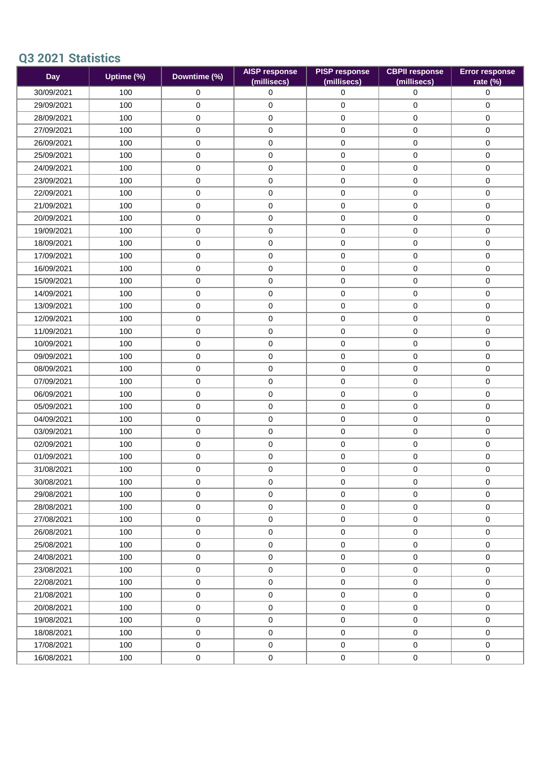## **Q3 2021 Statistics**

| <b>Day</b> | Uptime $\overline{\left( \% \right)}$ | Downtime (%)        | <b>AISP response</b><br>(millisecs) | <b>PISP response</b><br>(millisecs) | <b>CBPII response</b><br>(millisecs) | <b>Error response</b><br>rate (%) |
|------------|---------------------------------------|---------------------|-------------------------------------|-------------------------------------|--------------------------------------|-----------------------------------|
| 30/09/2021 | 100                                   | $\mathsf{O}\xspace$ | $\mathbf 0$                         | 0                                   | $\mathsf{O}$                         | 0                                 |
| 29/09/2021 | 100                                   | $\mathbf 0$         | $\pmb{0}$                           | 0                                   | $\mathbf 0$                          | 0                                 |
| 28/09/2021 | 100                                   | $\pmb{0}$           | 0                                   | 0                                   | $\mathsf{O}\xspace$                  | 0                                 |
| 27/09/2021 | 100                                   | 0                   | 0                                   | 0                                   | $\mathbf 0$                          | 0                                 |
| 26/09/2021 | 100                                   | $\mathbf 0$         | $\mathbf 0$                         | 0                                   | $\mathbf 0$                          | 0                                 |
| 25/09/2021 | 100                                   | $\pmb{0}$           | $\pmb{0}$                           | 0                                   | $\mathsf{O}\xspace$                  | 0                                 |
| 24/09/2021 | 100                                   | 0                   | 0                                   | 0                                   | $\mathbf 0$                          | 0                                 |
| 23/09/2021 | 100                                   | 0                   | 0                                   | 0                                   | $\mathbf 0$                          | 0                                 |
| 22/09/2021 | 100                                   | $\pmb{0}$           | 0                                   | 0                                   | $\mathsf{O}\xspace$                  | 0                                 |
| 21/09/2021 | 100                                   | $\pmb{0}$           | $\pmb{0}$                           | 0                                   | $\mathsf{O}\xspace$                  | 0                                 |
| 20/09/2021 | 100                                   | $\mathsf{O}\xspace$ | $\mathbf 0$                         | 0                                   | $\mathsf{O}\xspace$                  | 0                                 |
| 19/09/2021 | 100                                   | 0                   | 0                                   | 0                                   | $\mathbf 0$                          | 0                                 |
| 18/09/2021 | 100                                   | $\pmb{0}$           | $\pmb{0}$                           | 0                                   | $\pmb{0}$                            | 0                                 |
| 17/09/2021 | 100                                   | 0                   | 0                                   | 0                                   | $\mathsf{O}\xspace$                  | 0                                 |
| 16/09/2021 | 100                                   | $\mathbf 0$         | $\mathbf 0$                         | 0                                   | $\mathbf 0$                          | $\mathbf 0$                       |
| 15/09/2021 | 100                                   | $\pmb{0}$           | $\mathbf 0$                         | 0                                   | $\mathsf{O}\xspace$                  | 0                                 |
| 14/09/2021 | 100                                   | 0                   | 0                                   | 0                                   | $\mathbf 0$                          | 0                                 |
| 13/09/2021 | 100                                   | $\pmb{0}$           | 0                                   | 0                                   | $\mathbf 0$                          | 0                                 |
| 12/09/2021 | 100                                   | $\mathsf{O}\xspace$ | $\pmb{0}$                           | 0                                   | $\mathbf 0$                          | 0                                 |
| 11/09/2021 | 100                                   | $\pmb{0}$           | 0                                   | 0                                   | $\mathbf 0$                          | 0                                 |
| 10/09/2021 | 100                                   | $\pmb{0}$           | $\pmb{0}$                           | 0                                   | $\mathsf{O}\xspace$                  | 0                                 |
| 09/09/2021 | 100                                   | 0                   | $\pmb{0}$                           | 0                                   | $\mathbf 0$                          | 0                                 |
| 08/09/2021 | 100                                   | 0                   | 0                                   | 0                                   | 0                                    | 0                                 |
| 07/09/2021 | 100                                   | $\pmb{0}$           | $\pmb{0}$                           | 0                                   | $\mathbf 0$                          | 0                                 |
| 06/09/2021 | 100                                   | $\mathbf 0$         | $\mathbf 0$                         | 0                                   | $\mathbf 0$                          | $\mathbf 0$                       |
| 05/09/2021 | 100                                   | $\mathsf 0$         | $\pmb{0}$                           | 0                                   | $\mathbf 0$                          | 0                                 |
| 04/09/2021 | 100                                   | 0                   | 0                                   | 0                                   | $\mathbf 0$                          | 0                                 |
| 03/09/2021 | 100                                   | 0                   | $\pmb{0}$                           | 0                                   | $\mathbf 0$                          | 0                                 |
| 02/09/2021 | 100                                   | $\pmb{0}$           | $\pmb{0}$                           | 0                                   | $\mathsf{O}\xspace$                  | 0                                 |
| 01/09/2021 | 100                                   | 0                   | $\mathbf 0$                         | 0                                   | $\mathbf 0$                          | 0                                 |
| 31/08/2021 | 100                                   | 0                   | $\pmb{0}$                           | 0                                   | $\mathsf{O}\xspace$                  | 0                                 |
| 30/08/2021 | 100                                   | 0                   | 0                                   | 0                                   | $\mathbf 0$                          | 0                                 |
| 29/08/2021 | 100                                   | 0                   | 0                                   | 0                                   | $\mathsf{O}\xspace$                  | 0                                 |
| 28/08/2021 | 100                                   | $\mathsf{O}\xspace$ | $\mathbf 0$                         | 0                                   | $\mathbf 0$                          | $\mathbf 0$                       |
| 27/08/2021 | 100                                   | $\mathbf 0$         | $\mathbf 0$                         | 0                                   | $\mathbf 0$                          | $\mathbf 0$                       |
| 26/08/2021 | 100                                   | $\mathsf{O}\xspace$ | $\mathbf 0$                         | 0                                   | $\mathbf 0$                          | 0                                 |
| 25/08/2021 | 100                                   | $\mathbf 0$         | $\mathbf 0$                         | 0                                   | $\mathbf 0$                          | 0                                 |
| 24/08/2021 | 100                                   | $\mathbf 0$         | $\mathbf 0$                         | 0                                   | $\mathbf 0$                          | 0                                 |
| 23/08/2021 | 100                                   | $\mathsf{O}\xspace$ | $\mathbf 0$                         | 0                                   | $\mathbf 0$                          | $\mathbf 0$                       |
| 22/08/2021 | 100                                   | $\mathbf 0$         | $\mathbf 0$                         | 0                                   | $\mathbf 0$                          | 0                                 |
| 21/08/2021 | 100                                   | $\mathbf 0$         | $\mathbf 0$                         | 0                                   | $\mathbf 0$                          | $\mathbf 0$                       |
| 20/08/2021 | 100                                   | $\mathbf 0$         | $\mathbf 0$                         | 0                                   | $\mathbf 0$                          | 0                                 |
| 19/08/2021 | 100                                   | $\mathbf 0$         | $\mathbf 0$                         | 0                                   | $\mathbf 0$                          | 0                                 |
| 18/08/2021 | 100                                   | $\mathsf{O}\xspace$ | $\mathbf 0$                         | 0                                   | $\mathbf 0$                          | $\mathbf 0$                       |
| 17/08/2021 | 100                                   | $\mathbf 0$         | $\mathbf 0$                         | 0                                   | $\mathbf 0$                          | 0                                 |
| 16/08/2021 | 100                                   | $\mathsf{O}\xspace$ | $\mathbf 0$                         | 0                                   | $\mathbf 0$                          | 0                                 |